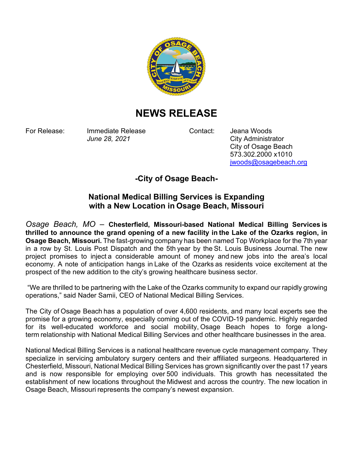

## **NEWS RELEASE**

For Release: Immediate Release Contact: Jeana Woods *June 28, 2021* City Administrator

City of Osage Beach 573.302.2000 x1010 [jwoods@osagebeach.org](mailto:jwoods@osagebeach.org)

**-City of Osage Beach-**

## **National Medical Billing Services is Expanding with a New Location in Osage Beach, Missouri**

*Osage Beach, MO* – **Chesterfield, Missouri-based National Medical Billing Services is thrilled to announce the grand opening of a new facility in the Lake of the Ozarks region, in Osage Beach, Missouri.** The fast-growing company has been named Top Workplace for the 7th year in a row by St. Louis Post Dispatch and the 5th year by the St. Louis Business Journal. The new project promises to inject a considerable amount of money and new jobs into the area's local economy. A note of anticipation hangs in Lake of the Ozarks as residents voice excitement at the prospect of the new addition to the city's growing healthcare business sector. 

"We are thrilled to be partnering with the Lake of the Ozarks community to expand our rapidly growing operations," said Nader Samii, CEO of National Medical Billing Services.

The City of Osage Beach has a population of over 4,600 residents, and many local experts see the promise for a growing economy, especially coming out of the COVID-19 pandemic. Highly regarded for its well-educated workforce and social mobility, Osage Beach hopes to forge a longterm relationship with National Medical Billing Services and other healthcare businesses in the area. 

National Medical Billing Services is a national healthcare revenue cycle management company. They specialize in servicing ambulatory surgery centers and their affiliated surgeons. Headquartered in Chesterfield, Missouri, National Medical Billing Services has grown significantly over the past 17 years and is now responsible for employing over 500 individuals. This growth has necessitated the establishment of new locations throughout the Midwest and across the country. The new location in Osage Beach, Missouri represents the company's newest expansion.